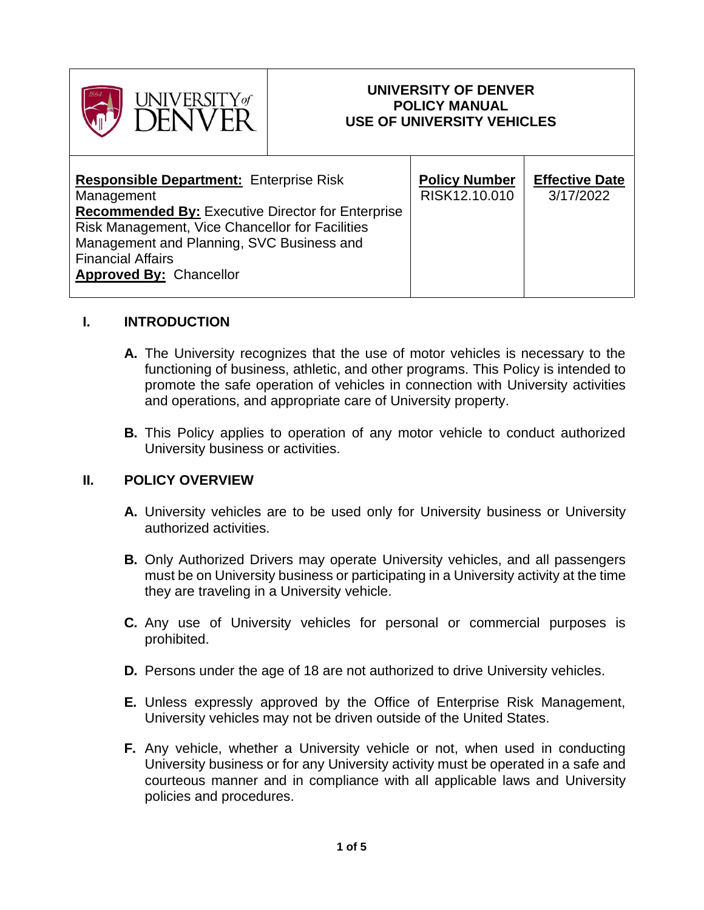

### **UNIVERSITY OF DENVER POLICY MANUAL USE OF UNIVERSITY VEHICLES**

## **I. INTRODUCTION**

- **A.** The University recognizes that the use of motor vehicles is necessary to the functioning of business, athletic, and other programs. This Policy is intended to promote the safe operation of vehicles in connection with University activities and operations, and appropriate care of University property.
- **B.** This Policy applies to operation of any motor vehicle to conduct authorized University business or activities.

#### **II. POLICY OVERVIEW**

- **A.** University vehicles are to be used only for University business or University authorized activities.
- **B.** Only Authorized Drivers may operate University vehicles, and all passengers must be on University business or participating in a University activity at the time they are traveling in a University vehicle.
- **C.** Any use of University vehicles for personal or commercial purposes is prohibited.
- **D.** Persons under the age of 18 are not authorized to drive University vehicles.
- **E.** Unless expressly approved by the Office of Enterprise Risk Management, University vehicles may not be driven outside of the United States.
- **F.** Any vehicle, whether a University vehicle or not, when used in conducting University business or for any University activity must be operated in a safe and courteous manner and in compliance with all applicable laws and University policies and procedures.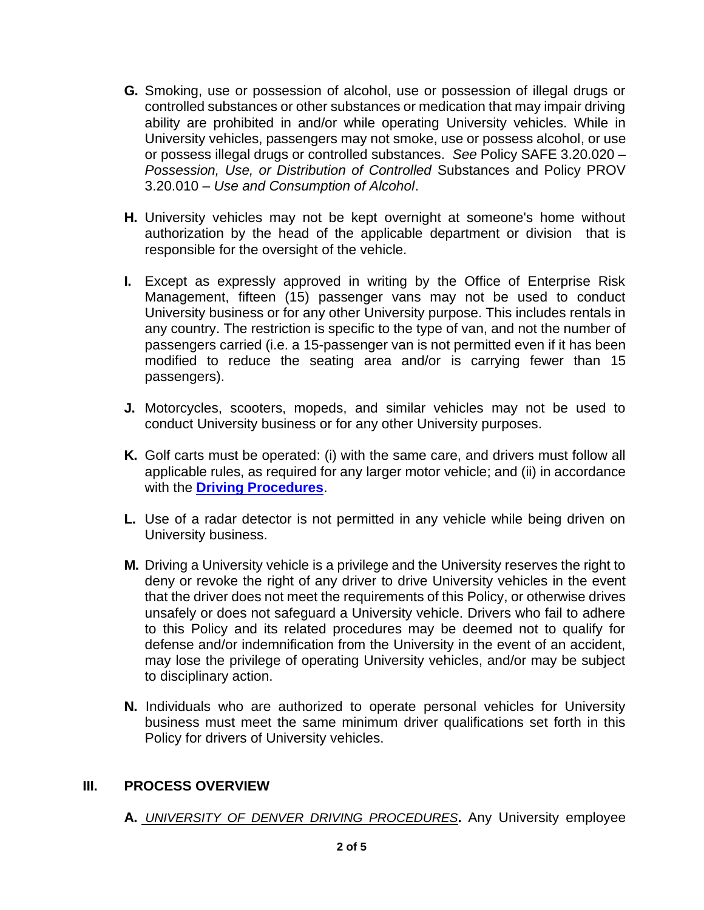- **G.** Smoking, use or possession of alcohol, use or possession of illegal drugs or controlled substances or other substances or medication that may impair driving ability are prohibited in and/or while operating University vehicles. While in University vehicles, passengers may not smoke, use or possess alcohol, or use or possess illegal drugs or controlled substances. *See* Policy SAFE 3.20.020 – *Possession, Use, or Distribution of Controlled* Substances and Policy PROV 3.20.010 *– Use and Consumption of Alcohol*.
- **H.** University vehicles may not be kept overnight at someone's home without authorization by the head of the applicable department or division that is responsible for the oversight of the vehicle.
- **I.** Except as expressly approved in writing by the Office of Enterprise Risk Management, fifteen (15) passenger vans may not be used to conduct University business or for any other University purpose. This includes rentals in any country. The restriction is specific to the type of van, and not the number of passengers carried (i.e. a 15-passenger van is not permitted even if it has been modified to reduce the seating area and/or is carrying fewer than 15 passengers).
- **J.** Motorcycles, scooters, mopeds, and similar vehicles may not be used to conduct University business or for any other University purposes.
- **K.** Golf carts must be operated: (i) with the same care, and drivers must follow all applicable rules, as required for any larger motor vehicle; and (ii) in accordance with the **[Driving Procedures](https://www.du.edu/sites/default/files/2022-01/DU%20Driving%20Procedures%2022-01-31.pdf)**.
- **L.** Use of a radar detector is not permitted in any vehicle while being driven on University business.
- **M.** Driving a University vehicle is a privilege and the University reserves the right to deny or revoke the right of any driver to drive University vehicles in the event that the driver does not meet the requirements of this Policy, or otherwise drives unsafely or does not safeguard a University vehicle. Drivers who fail to adhere to this Policy and its related procedures may be deemed not to qualify for defense and/or indemnification from the University in the event of an accident, may lose the privilege of operating University vehicles, and/or may be subject to disciplinary action.
- **N.** Individuals who are authorized to operate personal vehicles for University business must meet the same minimum driver qualifications set forth in this Policy for drivers of University vehicles.

#### **III. PROCESS OVERVIEW**

**A.** *UNIVERSITY OF DENVER DRIVING PROCEDURES***.** Any University employee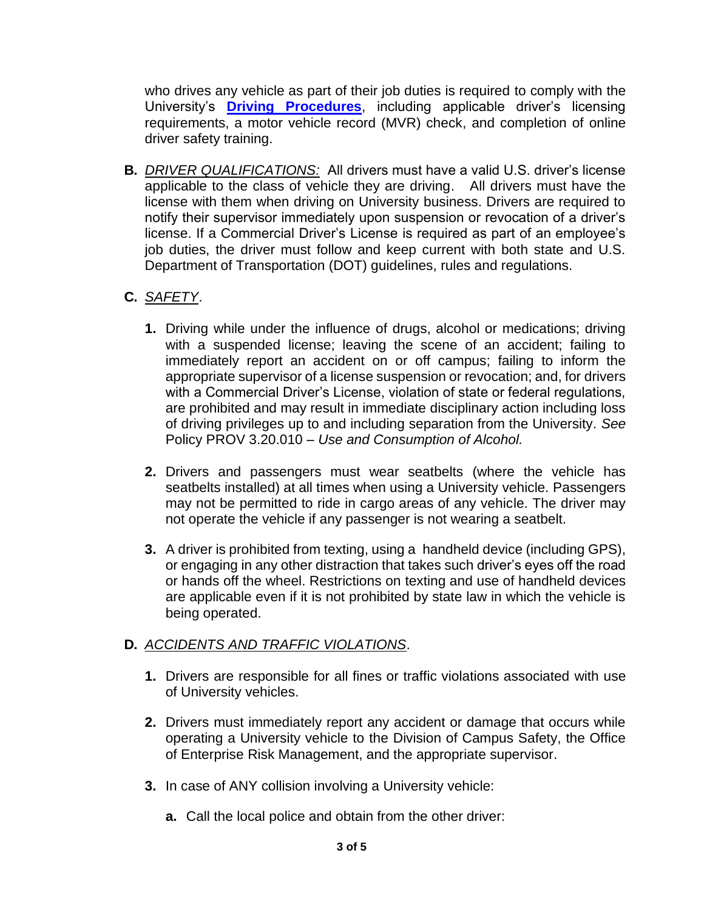who drives any vehicle as part of their job duties is required to comply with the University's **[Driving Procedures](https://www.du.edu/sites/default/files/2022-01/DU%20Driving%20Procedures%2022-01-31.pdf)**, including applicable driver's licensing requirements, a motor vehicle record (MVR) check, and completion of online driver safety training.

**B.** *DRIVER QUALIFICATIONS:* All drivers must have a valid U.S. driver's license **EXTERN CONDENSTRESS CONDENSERVIES 2013**<br>applicable to the class of vehicle they are driving. All drivers must have the license with them when driving on University business. Drivers are required to notify their supervisor immediately upon suspension or revocation of a driver's license. If a Commercial Driver's License is required as part of an employee's job duties, the driver must follow and keep current with both state and U.S. Department of Transportation (DOT) guidelines, rules and regulations.

# **C.** *SAFETY*.

- **1.** Driving while under the influence of drugs, alcohol or medications; driving with a suspended license; leaving the scene of an accident; failing to immediately report an accident on or off campus; failing to inform the appropriate supervisor of a license suspension or revocation; and, for drivers with a Commercial Driver's License, violation of state or federal regulations, are prohibited and may result in immediate disciplinary action including loss of driving privileges up to and including separation from the University. *See* Policy PROV 3.20.010 *– Use and Consumption of Alcohol.*
- **2.** Drivers and passengers must wear seatbelts (where the vehicle has seatbelts installed) at all times when using a University vehicle. Passengers may not be permitted to ride in cargo areas of any vehicle. The driver may not operate the vehicle if any passenger is not wearing a seatbelt.
- **3.** A driver is prohibited from texting, using a handheld device (including GPS), or engaging in any other distraction that takes such driver's eyes off the road or hands off the wheel. Restrictions on texting and use of handheld devices are applicable even if it is not prohibited by state law in which the vehicle is being operated.

## **D.** *ACCIDENTS AND TRAFFIC VIOLATIONS*.

- **1.** Drivers are responsible for all fines or traffic violations associated with use of University vehicles.
- **2.** Drivers must immediately report any accident or damage that occurs while operating a University vehicle to the Division of Campus Safety, the Office of Enterprise Risk Management, and the appropriate supervisor.
- **3.** In case of ANY collision involving a University vehicle:
	- **a.** Call the local police and obtain from the other driver: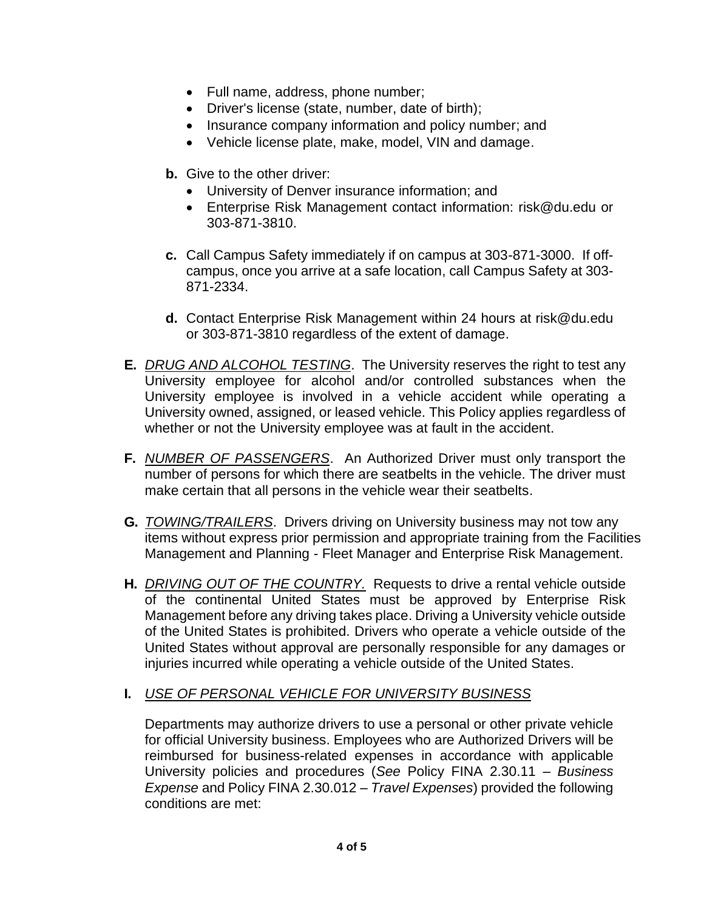- Full name, address, phone number;
- Driver's license (state, number, date of birth);
- Insurance company information and policy number; and
- Vehicle license plate, make, model, VIN and damage.
- **b.** Give to the other driver:
	- University of Denver insurance information; and
	- Enterprise Risk Management contact information: risk@du.edu or 303-871-3810.
- **c.** Call Campus Safety immediately if on campus at 303-871-3000. If offcampus, once you arrive at a safe location, call Campus Safety at 303- 871-2334.
- **d.** Contact Enterprise Risk Management within 24 hours at risk@du.edu or 303-871-3810 regardless of the extent of damage.
- **E.** *DRUG AND ALCOHOL TESTING*. The University reserves the right to test any University employee for alcohol and/or controlled substances when the University employee is involved in a vehicle accident while operating a University owned, assigned, or leased vehicle. This Policy applies regardless of whether or not the University employee was at fault in the accident.
- **F.** *NUMBER OF PASSENGERS*. An Authorized Driver must only transport the number of persons for which there are seatbelts in the vehicle. The driver must make certain that all persons in the vehicle wear their seatbelts.
- **G.** *TOWING/TRAILERS*. Drivers driving on University business may not tow any items without express prior permission and appropriate training from the Facilities Management and Planning - Fleet Manager and Enterprise Risk Management.
- **H.** *DRIVING OUT OF THE COUNTRY.* Requests to drive a rental vehicle outside of the continental United States must be approved by Enterprise Risk Management before any driving takes place. Driving a University vehicle outside of the United States is prohibited. Drivers who operate a vehicle outside of the United States without approval are personally responsible for any damages or injuries incurred while operating a vehicle outside of the United States.
- **I.** *USE OF PERSONAL VEHICLE FOR UNIVERSITY BUSINESS*

Departments may authorize drivers to use a personal or other private vehicle for official University business. Employees who are Authorized Drivers will be reimbursed for business-related expenses in accordance with applicable University policies and procedures (*See* Policy FINA 2.30.11 – *Business Expense* and Policy FINA 2.30.012 – *Travel Expenses*) provided the following conditions are met: